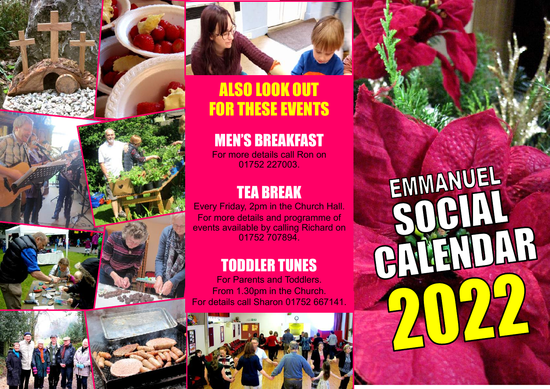





# ALSO LOOK OUT FOR THESE EVENTS

# MEN'S BREAKFAST

For more details call Ron on 01752 227003.

## TEA BREAK

Every Friday, 2pm in the Church Hall. For more details and programme of events available by calling Richard on 01752 707894.

## TODDLER TUNES

For Parents and Toddlers. From 1.30pm in the Church. For details call Sharon 01752 667141.



EMMANUEL MENDAR